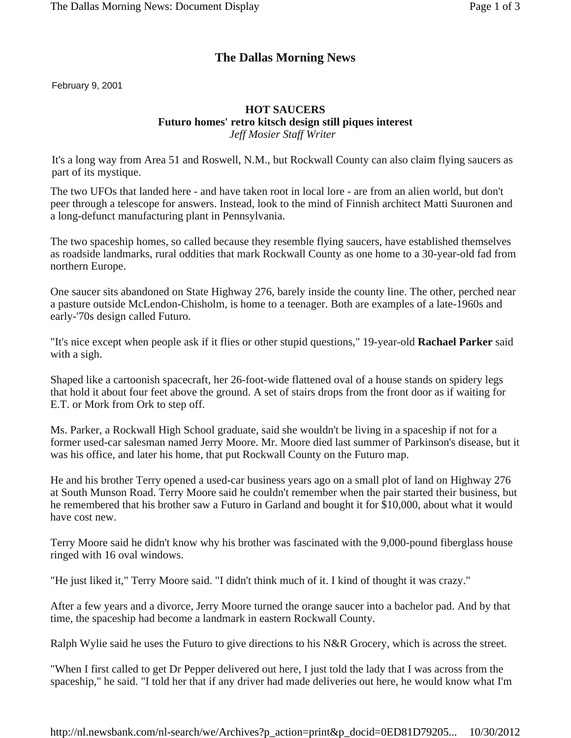## **The Dallas Morning News**

February 9, 2001

## **HOT SAUCERS Futuro homes' retro kitsch design still piques interest** *Jeff Mosier Staff Writer*

It's a long way from Area 51 and Roswell, N.M., but Rockwall County can also claim flying saucers as part of its mystique.

The two UFOs that landed here - and have taken root in local lore - are from an alien world, but don't peer through a telescope for answers. Instead, look to the mind of Finnish architect Matti Suuronen and a long-defunct manufacturing plant in Pennsylvania.

The two spaceship homes, so called because they resemble flying saucers, have established themselves as roadside landmarks, rural oddities that mark Rockwall County as one home to a 30-year-old fad from northern Europe.

One saucer sits abandoned on State Highway 276, barely inside the county line. The other, perched near a pasture outside McLendon-Chisholm, is home to a teenager. Both are examples of a late-1960s and early-'70s design called Futuro.

"It's nice except when people ask if it flies or other stupid questions," 19-year-old **Rachael Parker** said with a sigh.

Shaped like a cartoonish spacecraft, her 26-foot-wide flattened oval of a house stands on spidery legs that hold it about four feet above the ground. A set of stairs drops from the front door as if waiting for E.T. or Mork from Ork to step off.

Ms. Parker, a Rockwall High School graduate, said she wouldn't be living in a spaceship if not for a former used-car salesman named Jerry Moore. Mr. Moore died last summer of Parkinson's disease, but it was his office, and later his home, that put Rockwall County on the Futuro map.

He and his brother Terry opened a used-car business years ago on a small plot of land on Highway 276 at South Munson Road. Terry Moore said he couldn't remember when the pair started their business, but he remembered that his brother saw a Futuro in Garland and bought it for \$10,000, about what it would have cost new.

Terry Moore said he didn't know why his brother was fascinated with the 9,000-pound fiberglass house ringed with 16 oval windows.

"He just liked it," Terry Moore said. "I didn't think much of it. I kind of thought it was crazy."

After a few years and a divorce, Jerry Moore turned the orange saucer into a bachelor pad. And by that time, the spaceship had become a landmark in eastern Rockwall County.

Ralph Wylie said he uses the Futuro to give directions to his N&R Grocery, which is across the street.

"When I first called to get Dr Pepper delivered out here, I just told the lady that I was across from the spaceship," he said. "I told her that if any driver had made deliveries out here, he would know what I'm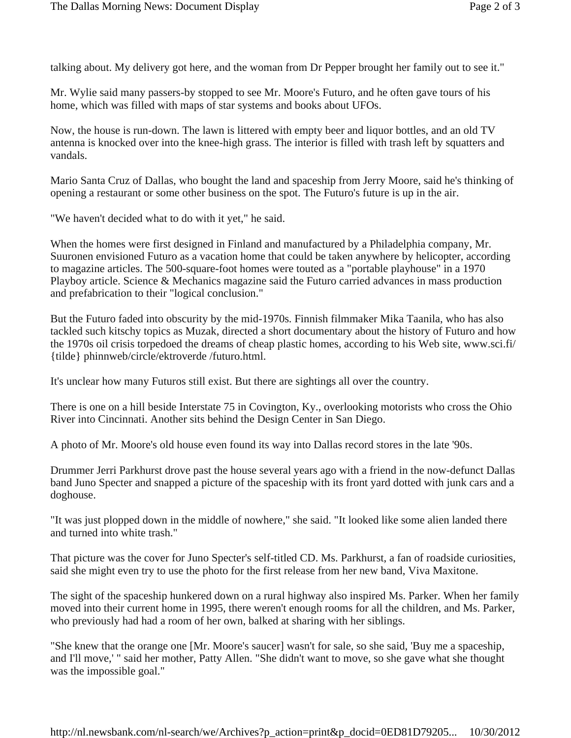talking about. My delivery got here, and the woman from Dr Pepper brought her family out to see it."

Mr. Wylie said many passers-by stopped to see Mr. Moore's Futuro, and he often gave tours of his home, which was filled with maps of star systems and books about UFOs.

Now, the house is run-down. The lawn is littered with empty beer and liquor bottles, and an old TV antenna is knocked over into the knee-high grass. The interior is filled with trash left by squatters and vandals.

Mario Santa Cruz of Dallas, who bought the land and spaceship from Jerry Moore, said he's thinking of opening a restaurant or some other business on the spot. The Futuro's future is up in the air.

"We haven't decided what to do with it yet," he said.

When the homes were first designed in Finland and manufactured by a Philadelphia company, Mr. Suuronen envisioned Futuro as a vacation home that could be taken anywhere by helicopter, according to magazine articles. The 500-square-foot homes were touted as a "portable playhouse" in a 1970 Playboy article. Science & Mechanics magazine said the Futuro carried advances in mass production and prefabrication to their "logical conclusion."

But the Futuro faded into obscurity by the mid-1970s. Finnish filmmaker Mika Taanila, who has also tackled such kitschy topics as Muzak, directed a short documentary about the history of Futuro and how the 1970s oil crisis torpedoed the dreams of cheap plastic homes, according to his Web site, www.sci.fi/ {tilde} phinnweb/circle/ektroverde /futuro.html.

It's unclear how many Futuros still exist. But there are sightings all over the country.

There is one on a hill beside Interstate 75 in Covington, Ky., overlooking motorists who cross the Ohio River into Cincinnati. Another sits behind the Design Center in San Diego.

A photo of Mr. Moore's old house even found its way into Dallas record stores in the late '90s.

Drummer Jerri Parkhurst drove past the house several years ago with a friend in the now-defunct Dallas band Juno Specter and snapped a picture of the spaceship with its front yard dotted with junk cars and a doghouse.

"It was just plopped down in the middle of nowhere," she said. "It looked like some alien landed there and turned into white trash."

That picture was the cover for Juno Specter's self-titled CD. Ms. Parkhurst, a fan of roadside curiosities, said she might even try to use the photo for the first release from her new band, Viva Maxitone.

The sight of the spaceship hunkered down on a rural highway also inspired Ms. Parker. When her family moved into their current home in 1995, there weren't enough rooms for all the children, and Ms. Parker, who previously had had a room of her own, balked at sharing with her siblings.

"She knew that the orange one [Mr. Moore's saucer] wasn't for sale, so she said, 'Buy me a spaceship, and I'll move,' " said her mother, Patty Allen. "She didn't want to move, so she gave what she thought was the impossible goal."